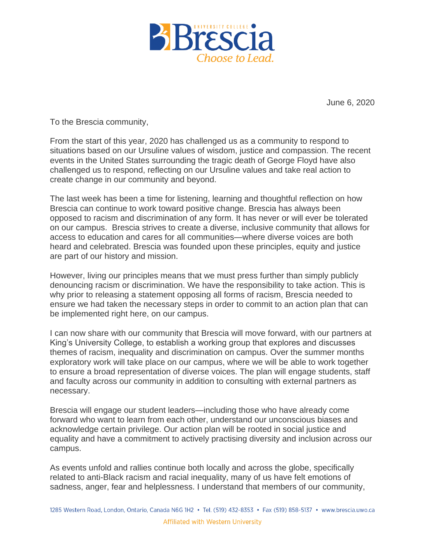

**June 6, 2020**

**To the Brescia community,**

**From the start of this year, 2020 has challenged us as a community to respond to situations based on our Ursuline values of wisdom, justice and compassion. The recent events in the United States surrounding the tragic death of George Floyd have also challenged us to respond, reflecting on our Ursuline values and take real action to create change in our community and beyond.**

**The last week has been a time for listening, learning and thoughtful reflection on how Brescia can continue to work toward positive change. Brescia has always been opposed to racism and discrimination of any form. It has never or will ever be tolerated on our campus. Brescia strives to create a diverse, inclusive community that allows for access to education and cares for all communities—where diverse voices are both heard and celebrated. Brescia was founded upon these principles, equity and justice are part of our history and mission.**

**However, living our principles means that we must press further than simply publicly denouncing racism or discrimination. We have the responsibility to take action. This is why prior to releasing a statement opposing all forms of racism, Brescia needed to ensure we had taken the necessary steps in order to commit to an action plan that can be implemented right here, on our campus.**

**I can now share with our community that Brescia will move forward, with our partners at King's University College, to establish a working group that explores and discusses themes of racism, inequality and discrimination on campus. Over the summer months exploratory work will take place on our campus, where we will be able to work together to ensure a broad representation of diverse voices. The plan will engage students, staff and faculty across our community in addition to consulting with external partners as necessary.**

**Brescia will engage our student leaders—including those who have already come forward who want to learn from each other, understand our unconscious biases and acknowledge certain privilege. Our action plan will be rooted in social justice and equality and have a commitment to actively practising diversity and inclusion across our campus.**

**As events unfold and rallies continue both locally and across the globe, specifically related to anti-Black racism and racial inequality, many of us have felt emotions of sadness, anger, fear and helplessness. I understand that members of our community,**